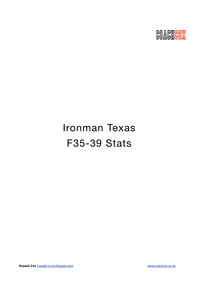

# Ironman Texas F35-39 Stats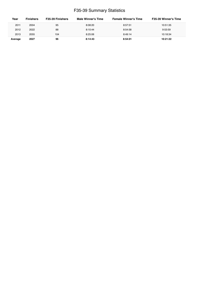## F35-39 Summary Statistics

| Year    | <b>Finishers</b> | F35-39 Finishers | Male Winner's Time | <b>Female Winner's Time</b> | <b>F35-39 Winner's Time</b> |
|---------|------------------|------------------|--------------------|-----------------------------|-----------------------------|
| 2011    | 2004             | 95               | 8:08:20            | 8:57:51                     | 10:51:35                    |
| 2012    | 2022             | 88               | 8:10:44            | 8:54:58                     | 9:53:59                     |
| 2013    | 2055             | 104              | 8:25:06            | 8:49:14                     | 10:18:34                    |
| Average | 2027             | 96               | 8:14:43            | 8:54:01                     | 10:21:22                    |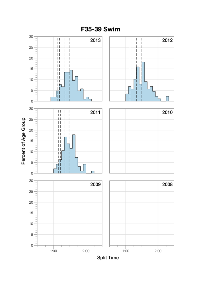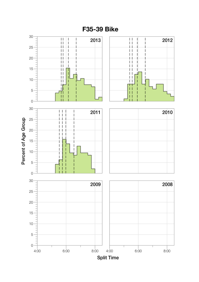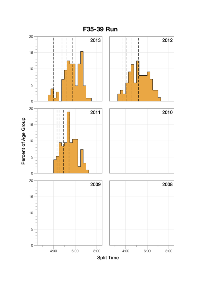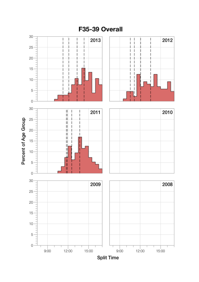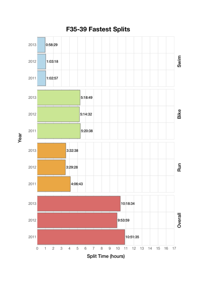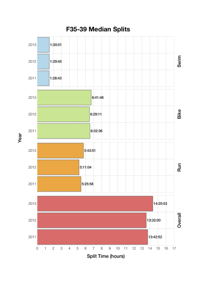

Year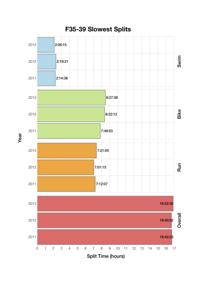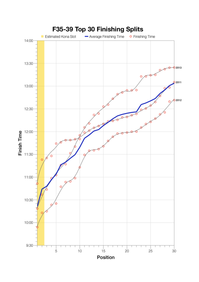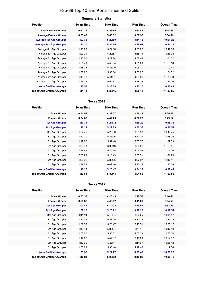## F35-39 Top 10 and Kona Times and Splits

| <b>Position</b>                   | <b>Swim Time</b> | <b>Bike Time</b> | <b>Run Time</b> | <b>Overall Time</b> |
|-----------------------------------|------------------|------------------|-----------------|---------------------|
| <b>Average Male Winner</b>        | 0:52:39          | 4:26:55          | 2:50:45         | 8:14:43             |
| <b>Average Female Winner</b>      | 0:53:47          | 5:06:32          | 3:07:36         | 8:54:01             |
| <b>Average 1st Age Grouper</b>    | 1:07:36          | 5:22:59          | 3:44:18         | 10:21:22            |
| <b>Average 2nd Age Grouper</b>    | 1:14:20          | 5:34:56          | 3:46:02         | 10:44:16            |
| Average 3rd Age Grouper           | 1:10:03          | 5:24:06          | 4:06:02         | 10:47:58            |
| Average 4th Age Grouper           | 1:20:39          | 5:29:57          | 3:58:16         | 10:56:38            |
| Average 5th Age Grouper           | 1:15:50          | 5:29:34          | 4:08:44         | 11:04:02            |
| Average 6th Age Grouper           | 1:20:40          | 5:46:04          | 4:01:03         | 11:16:18            |
| Average 7th Age Grouper           | 1:18:34          | 5:45:29          | 4:05:21         | 11:19:44            |
| Average 8th Age Grouper           | 1:07:22          | 5:38:34          | 4:30:27         | 11:24:52            |
| Average 9th Age Grouper           | 1:15:42          | 5:41:21          | 4:23:21         | 11:29:38            |
| Average 10th Age Grouper          | 1:16:36          | 5:54:31          | 4:18:16         | 11:39:26            |
| <b>Kona Qualifier Average</b>     | 1:10:58          | 5:28:58          | 3:45:10         | 10:32:49            |
| <b>Top 10 Age Grouper Average</b> | 1:14:44          | 5:36:45          | 4:06:11         | 11:06:25            |

### **Texas 2013**

| <b>Position</b>                   | <b>Swim Time</b> | <b>Bike Time</b> | <b>Run Time</b> | <b>Overall Time</b> |
|-----------------------------------|------------------|------------------|-----------------|---------------------|
| <b>Male Winner</b>                | 0:54:54          | 4:29:07          | 2:56:18         | 8:25:06             |
| <b>Female Winner</b>              | 0:54:02          | 4:42:29          | 3:07:27         | 8:49:14             |
| 1st Age Grouper                   | 1:10:31          | 5:24:12          | 3:36:20         | 10:18:34            |
| 2nd Age Grouper                   | 1:26:22          | 5:29:23          | 3:32:38         | 10:36:54            |
| 3rd Age Grouper                   | 1:07:41          | 5:26:38          | 3:59:52         | 10:43:45            |
| 4th Age Grouper                   | 1:12:21          | 5:46:06          | 3:51:20         | 10:58:36            |
| 5th Age Grouper                   | 1:12:02          | 5:39:48          | 3:55:57         | 11:02:39            |
| 6th Age Grouper                   | 1:08:48          | 6:05:18          | 3:52:21         | 11:15:41            |
| 7th Age Grouper                   | 1:16:56          | 5:45:15          | 4:05:05         | 11:17:00            |
| 8th Age Grouper                   | 0:58:29          | 5:18:49          | 5:05:31         | 11:31:29            |
| 9th Age Grouper                   | 1:25:31          | 5:39:36          | 4:27:27         | 11:40:11            |
| 10th Age Grouper                  | 1:19:58          | 6:02:16          | 4:23:15         | 11:55:06            |
| <b>Kona Qualifier Average</b>     | 1:18:26          | 5:26:47          | 3:34:29         | 10:27:44            |
| <b>Top 10 Age Grouper Average</b> | 1:13:51          | 5:39:44          | 4:04:58         | 11:07:59            |

#### **Texas 2012**

| <b>Position</b>                   | <b>Swim Time</b> | <b>Bike Time</b> | <b>Run Time</b> | <b>Overall Time</b> |
|-----------------------------------|------------------|------------------|-----------------|---------------------|
| <b>Male Winner</b>                | 0:53:36          | 4:25:43          | 2:46:55         | 8:10:44             |
| <b>Female Winner</b>              | 0:53:32          | 4:45:52          | 3:11:09         | 8:54:58             |
| <b>1st Age Grouper</b>            | 1:03:44          | 5:14:32          | 3:29:52         | 9:53:59             |
| <b>2nd Age Grouper</b>            | 1:07:27          | 5:28:22          | 3:29:28         | 10:12:54            |
| 3rd Age Grouper                   | 1:11:19          | 5:19:54          | 3:37:05         | 10:14:57            |
| 4th Age Grouper                   | 1:20:06          | 5:23:09          | 3:33:12         | 10:23:23            |
| 5th Age Grouper                   | 1:07:53          | 5:20:47          | 3:48:51         | 10:25:12            |
| 6th Age Grouper                   | 1:19:44          | 5:35:24          | 3:44:11         | 10:47:19            |
| 7th Age Grouper                   | 1:05:50          | 5:35:02          | 4:03:23         | 10:53:30            |
| 8th Age Grouper                   | 1:12:02          | 5:47:57          | 3:46:00         | 10:54:17            |
| 9th Age Grouper                   | 1:10:35          | 5:26:11          | 4:11:57         | 10:58:42            |
| 10th Age Grouper                  | 1:05:29          | 5:38:40          | 4:19:46         | 11:12:56            |
| <b>Kona Qualifier Average</b>     | 1:05:35          | 5:21:27          | 3:29:40         | 10:03:26            |
| <b>Top 10 Age Grouper Average</b> | 1:10:24          | 5:28:59          | 3:48:22         | 10:35:42            |